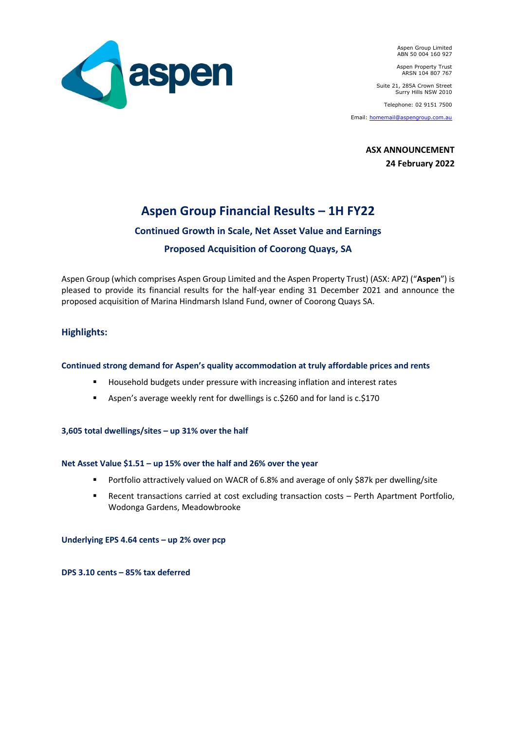

Aspen Group Limited ABN 50 004 160 927

Aspen Property Trust ARSN 104 807 767

Suite 21, 285A Crown Street Surry Hills NSW 2010

Telephone: 02 9151 7500

Email: [homemail@aspengroup.com.au](mailto:homemail@aspengroup.com.au)

**ASX ANNOUNCEMENT 24 February 2022**

# **Aspen Group Financial Results – 1H FY22**

## **Continued Growth in Scale, Net Asset Value and Earnings**

## **Proposed Acquisition of Coorong Quays, SA**

Aspen Group (which comprises Aspen Group Limited and the Aspen Property Trust) (ASX: APZ) ("**Aspen**") is pleased to provide its financial results for the half-year ending 31 December 2021 and announce the proposed acquisition of Marina Hindmarsh Island Fund, owner of Coorong Quays SA.

## **Highlights:**

### **Continued strong demand for Aspen's quality accommodation at truly affordable prices and rents**

- Household budgets under pressure with increasing inflation and interest rates
- Aspen's average weekly rent for dwellings is c.\$260 and for land is c.\$170

#### **3,605 total dwellings/sites – up 31% over the half**

#### **Net Asset Value \$1.51 – up 15% over the half and 26% over the year**

- Portfolio attractively valued on WACR of 6.8% and average of only \$87k per dwelling/site
- Recent transactions carried at cost excluding transaction costs Perth Apartment Portfolio, Wodonga Gardens, Meadowbrooke

**Underlying EPS 4.64 cents – up 2% over pcp**

**DPS 3.10 cents – 85% tax deferred**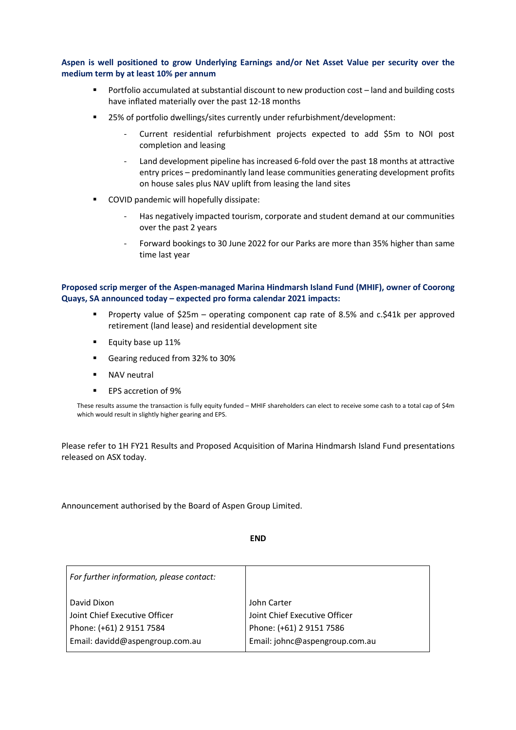#### **Aspen is well positioned to grow Underlying Earnings and/or Net Asset Value per security over the medium term by at least 10% per annum**

- Portfolio accumulated at substantial discount to new production cost land and building costs have inflated materially over the past 12-18 months
- 25% of portfolio dwellings/sites currently under refurbishment/development:
	- Current residential refurbishment projects expected to add \$5m to NOI post completion and leasing
	- Land development pipeline has increased 6-fold over the past 18 months at attractive entry prices – predominantly land lease communities generating development profits on house sales plus NAV uplift from leasing the land sites
- COVID pandemic will hopefully dissipate:
	- Has negatively impacted tourism, corporate and student demand at our communities over the past 2 years
	- Forward bookings to 30 June 2022 for our Parks are more than 35% higher than same time last year

#### **Proposed scrip merger of the Aspen-managed Marina Hindmarsh Island Fund (MHIF), owner of Coorong Quays, SA announced today – expected pro forma calendar 2021 impacts:**

- Property value of \$25m operating component cap rate of 8.5% and c.\$41k per approved retirement (land lease) and residential development site
- Equity base up 11%
- Gearing reduced from 32% to 30%
- NAV neutral
- EPS accretion of 9%

These results assume the transaction is fully equity funded – MHIF shareholders can elect to receive some cash to a total cap of \$4m which would result in slightly higher gearing and EPS.

Please refer to 1H FY21 Results and Proposed Acquisition of Marina Hindmarsh Island Fund presentations released on ASX today.

Announcement authorised by the Board of Aspen Group Limited.

**END**

| For further information, please contact: |                                |
|------------------------------------------|--------------------------------|
| David Dixon                              | John Carter                    |
| Joint Chief Executive Officer            | Joint Chief Executive Officer  |
| Phone: (+61) 2 9151 7584                 | Phone: (+61) 2 9151 7586       |
| Email: davidd@aspengroup.com.au          | Email: johnc@aspengroup.com.au |
|                                          |                                |